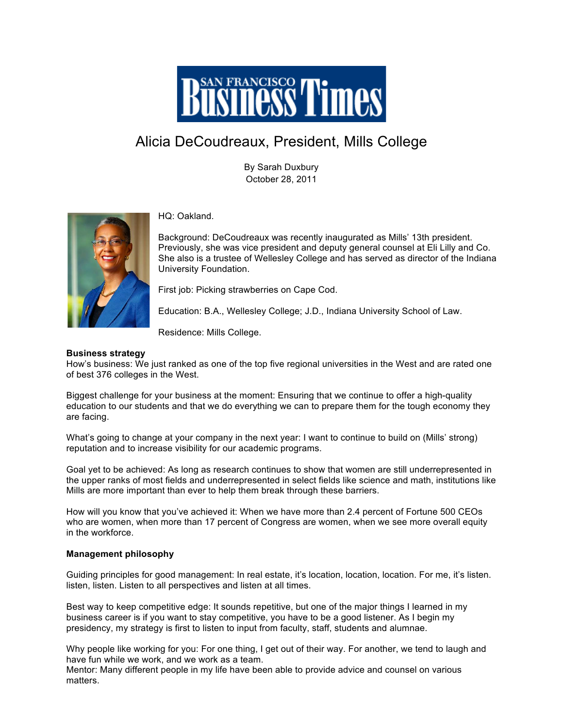

## Alicia DeCoudreaux, President, Mills College

By Sarah Duxbury October 28, 2011



HQ: Oakland.

Background: DeCoudreaux was recently inaugurated as Mills' 13th president. Previously, she was vice president and deputy general counsel at Eli Lilly and Co. She also is a trustee of Wellesley College and has served as director of the Indiana University Foundation.

First job: Picking strawberries on Cape Cod.

Education: B.A., Wellesley College; J.D., Indiana University School of Law.

Residence: Mills College.

## **Business strategy**

How's business: We just ranked as one of the top five regional universities in the West and are rated one of best 376 colleges in the West.

Biggest challenge for your business at the moment: Ensuring that we continue to offer a high-quality education to our students and that we do everything we can to prepare them for the tough economy they are facing.

What's going to change at your company in the next year: I want to continue to build on (Mills' strong) reputation and to increase visibility for our academic programs.

Goal yet to be achieved: As long as research continues to show that women are still underrepresented in the upper ranks of most fields and underrepresented in select fields like science and math, institutions like Mills are more important than ever to help them break through these barriers.

How will you know that you've achieved it: When we have more than 2.4 percent of Fortune 500 CEOs who are women, when more than 17 percent of Congress are women, when we see more overall equity in the workforce.

## **Management philosophy**

Guiding principles for good management: In real estate, it's location, location, location. For me, it's listen. listen, listen. Listen to all perspectives and listen at all times.

Best way to keep competitive edge: It sounds repetitive, but one of the major things I learned in my business career is if you want to stay competitive, you have to be a good listener. As I begin my presidency, my strategy is first to listen to input from faculty, staff, students and alumnae.

Why people like working for you: For one thing, I get out of their way. For another, we tend to laugh and have fun while we work, and we work as a team.

Mentor: Many different people in my life have been able to provide advice and counsel on various matters.